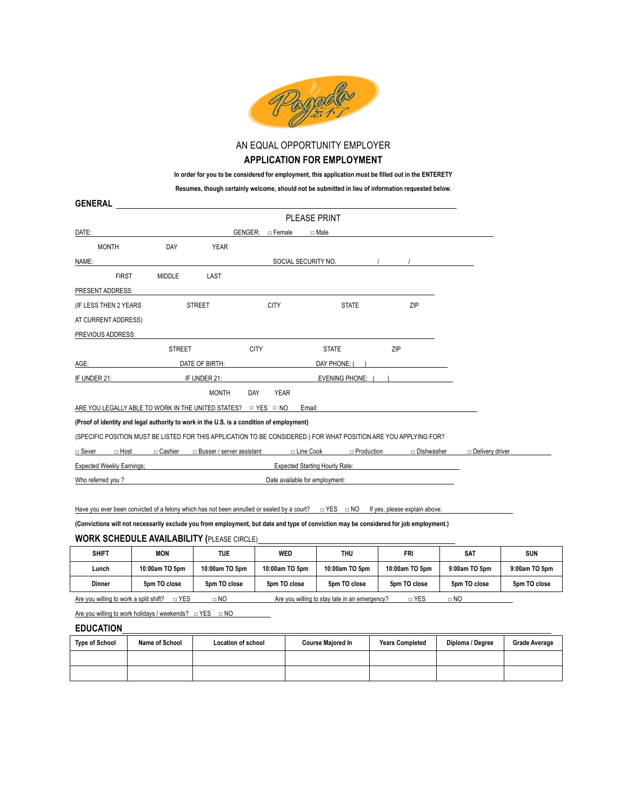

AN EQUAL OPPORTUNITY EMPLOYER

#### **APPLICATION FOR EMPLOYMENT**

**In order for you to be considered for employment, this application must be filled out in the ENTERETY**

**Resumes, though certainly welcome, should not be submitted in lieu of information requested below.**

| <b>GENERAL</b>                                                                                                    |                                       |                                  |                           |                                       |                   |              |                        |
|-------------------------------------------------------------------------------------------------------------------|---------------------------------------|----------------------------------|---------------------------|---------------------------------------|-------------------|--------------|------------------------|
|                                                                                                                   |                                       |                                  |                           | <b>PLEASE PRINT</b>                   |                   |              |                        |
| DATE:                                                                                                             |                                       |                                  | GENGER:<br>□ Female       | □ Male                                |                   |              |                        |
| <b>MONTH</b>                                                                                                      | DAY                                   | <b>YEAR</b>                      |                           |                                       |                   |              |                        |
| NAME:                                                                                                             |                                       |                                  |                           | SOCIAL SECURITY NO.                   |                   |              |                        |
| <b>FIRST</b>                                                                                                      | <b>MIDDLE</b>                         | LAST                             |                           |                                       |                   |              |                        |
| PRESENT ADDRESS:                                                                                                  |                                       |                                  |                           |                                       |                   |              |                        |
| (IF LESS THEN 2 YEARS                                                                                             |                                       | <b>STREET</b>                    | <b>CITY</b>               | <b>STATE</b>                          |                   | ZIP          |                        |
| AT CURRENT ADDRESS)                                                                                               |                                       |                                  |                           |                                       |                   |              |                        |
| PREVIOUS ADDRESS:                                                                                                 |                                       |                                  |                           |                                       |                   |              |                        |
|                                                                                                                   | <b>STREET</b>                         |                                  | <b>CITY</b>               | <b>STATE</b>                          | ZIP               |              |                        |
| AGE:                                                                                                              |                                       | DATE OF BIRTH:                   |                           | DAY PHONE:                            |                   |              |                        |
| IF UNDER 21:                                                                                                      | IF UNDER 21:<br><b>EVENING PHONE:</b> |                                  |                           |                                       |                   |              |                        |
|                                                                                                                   |                                       | <b>MONTH</b>                     | <b>DAY</b><br><b>YEAR</b> |                                       |                   |              |                        |
| ARE YOU LEGALLY ABLE TO WORK IN THE UNITED STATES? $\Box$ YES $\Box$ NO                                           |                                       |                                  |                           | Email:                                |                   |              |                        |
| (Proof of identity and legal authority to work in the U.S. is a condition of employment)                          |                                       |                                  |                           |                                       |                   |              |                        |
| (SPECIFIC POSITION MUST BE LISTED FOR THIS APPLICATION TO BE CONSIDERED.) FOR WHAT POSITION ARE YOU APPLYING FOR? |                                       |                                  |                           |                                       |                   |              |                        |
| $\Box$ Host<br>□ Sever                                                                                            | $\Box$ Cashier                        | $\Box$ Busser / server assistant |                           | □ Line Cook                           | $\Box$ Production | □ Dishwasher | $\Box$ Delivery driver |
| <b>Expected Weekly Earnings;</b>                                                                                  |                                       |                                  |                           | <b>Expected Starting Hourly Rate:</b> |                   |              |                        |
| Who referred you?                                                                                                 |                                       |                                  |                           | Date available for employment:        |                   |              |                        |
|                                                                                                                   |                                       |                                  |                           |                                       |                   |              |                        |

Have you ever been convicted of a felony which has not been annulled or sealed by a court? □ YES □ NO If yes, please explain above:

**(Convictions will not necessarily exclude you from employment, but date and type of conviction may be considered for job employment.)** 

### **WORK SCHEDULE AVAILABILITY (**PLEASE CIRCLE)

| <b>SHIFT</b>                                                                                                                               | <b>MON</b>     | <b>TUE</b>     | WED            | THU            | FRI            | <b>SAT</b>    | <b>SUN</b>    |
|--------------------------------------------------------------------------------------------------------------------------------------------|----------------|----------------|----------------|----------------|----------------|---------------|---------------|
| Lunch                                                                                                                                      | 10:00am TO 5pm | 10:00am TO 5pm | 10:00am TO 5pm | 10:00am TO 5pm | 10:00am TO 5pm | 9:00am TO 5pm | 9:00am TO 5pm |
| Dinner                                                                                                                                     | 5pm TO close   | 5pm TO close   | 5pm TO close   | 5pm TO close   | 5pm TO close   | 5pm TO close  | 5pm TO close  |
| $\sqcap$ YES<br>□ YES<br>Are you willing to work a split shift?<br>$\Box$ NO<br>Are you willing to stay late in an emergency?<br>$\Box$ NO |                |                |                |                |                |               |               |

Are you willing to work holidays / weekends? □ YES □ NO

## **EDUCATION**

| <b>Type of School</b> | Name of School | <b>Location of school</b> | <b>Course Majored In</b> | <b>Years Completed</b> | Diploma / Degree | <b>Grade Average</b> |
|-----------------------|----------------|---------------------------|--------------------------|------------------------|------------------|----------------------|
|                       |                |                           |                          |                        |                  |                      |
|                       |                |                           |                          |                        |                  |                      |